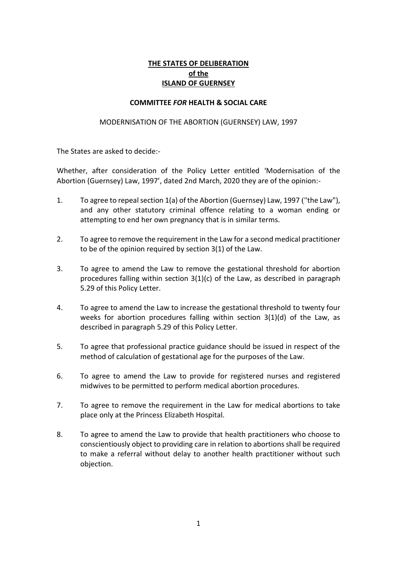# **THE STATES OF DELIBERATION of the ISLAND OF GUERNSEY**

#### **COMMITTEE** *FOR* **HEALTH & SOCIAL CARE**

#### MODERNISATION OF THE ABORTION (GUERNSEY) LAW, 1997

The States are asked to decide:-

Whether, after consideration of the Policy Letter entitled 'Modernisation of the Abortion (Guernsey) Law, 1997', dated 2nd March, 2020 they are of the opinion:-

- 1. To agree to repeal section 1(a) of the Abortion (Guernsey) Law, 1997 ("the Law"), and any other statutory criminal offence relating to a woman ending or attempting to end her own pregnancy that is in similar terms.
- 2. To agree to remove the requirement in the Law for a second medical practitioner to be of the opinion required by section 3(1) of the Law.
- 3. To agree to amend the Law to remove the gestational threshold for abortion procedures falling within section  $3(1)(c)$  of the Law, as described in paragraph 5.29 of this Policy Letter.
- 4. To agree to amend the Law to increase the gestational threshold to twenty four weeks for abortion procedures falling within section 3(1)(d) of the Law, as described in paragraph 5.29 of this Policy Letter.
- 5. To agree that professional practice guidance should be issued in respect of the method of calculation of gestational age for the purposes of the Law.
- 6. To agree to amend the Law to provide for registered nurses and registered midwives to be permitted to perform medical abortion procedures.
- 7. To agree to remove the requirement in the Law for medical abortions to take place only at the Princess Elizabeth Hospital.
- 8. To agree to amend the Law to provide that health practitioners who choose to conscientiously object to providing care in relation to abortions shall be required to make a referral without delay to another health practitioner without such objection.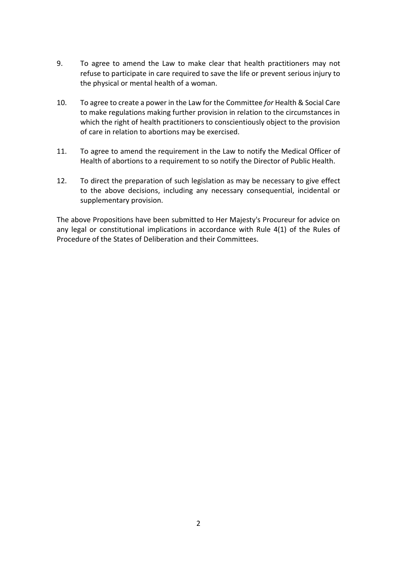- 9. To agree to amend the Law to make clear that health practitioners may not refuse to participate in care required to save the life or prevent serious injury to the physical or mental health of a woman.
- 10. To agree to create a power in the Law for the Committee *for* Health & Social Care to make regulations making further provision in relation to the circumstances in which the right of health practitioners to conscientiously object to the provision of care in relation to abortions may be exercised.
- 11. To agree to amend the requirement in the Law to notify the Medical Officer of Health of abortions to a requirement to so notify the Director of Public Health.
- 12. To direct the preparation of such legislation as may be necessary to give effect to the above decisions, including any necessary consequential, incidental or supplementary provision.

The above Propositions have been submitted to Her Majesty's Procureur for advice on any legal or constitutional implications in accordance with Rule 4(1) of the Rules of Procedure of the States of Deliberation and their Committees.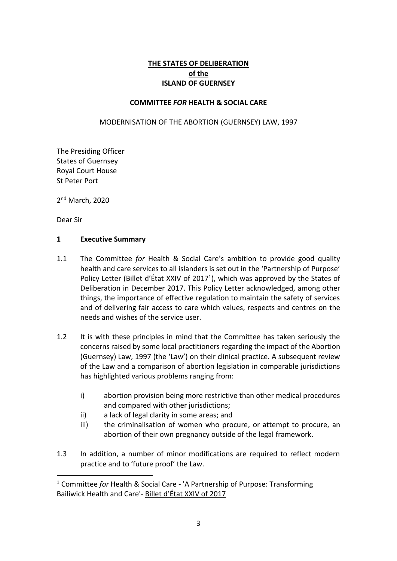# **THE STATES OF DELIBERATION of the ISLAND OF GUERNSEY**

#### **COMMITTEE** *FOR* **HEALTH & SOCIAL CARE**

MODERNISATION OF THE ABORTION (GUERNSEY) LAW, 1997

The Presiding Officer States of Guernsey Royal Court House St Peter Port

2<sup>nd</sup> March, 2020

Dear Sir

**.** 

#### **1 Executive Summary**

- 1.1 The Committee *for* Health & Social Care's ambition to provide good quality health and care services to all islanders is set out in the 'Partnership of Purpose' Policy Letter ([Billet d'État XXIV](https://www.gov.gg/article/162531/States-Meeting-on-13-December-2017-Billets-XXIV--XXV) of 2017<sup>1</sup>), which was approved by the States of Deliberation in December 2017. This Policy Letter acknowledged, among other things, the importance of effective regulation to maintain the safety of services and of delivering fair access to care which values, respects and centres on the needs and wishes of the service user.
- 1.2 It is with these principles in mind that the Committee has taken seriously the concerns raised by some local practitioners regarding the impact of the Abortion (Guernsey) Law, 1997 (the 'Law') on their clinical practice. A subsequent review of the Law and a comparison of abortion legislation in comparable jurisdictions has highlighted various problems ranging from:
	- i) abortion provision being more restrictive than other medical procedures and compared with other jurisdictions;
	- ii) a lack of legal clarity in some areas; and
	- iii) the criminalisation of women who procure, or attempt to procure, an abortion of their own pregnancy outside of the legal framework.
- 1.3 In addition, a number of minor modifications are required to reflect modern practice and to 'future proof' the Law.

<sup>1</sup> Committee *for* Health & Social Care - 'A Partnership of Purpose: Transforming Bailiwick Health and Care'- [Billet d'État XXIV of 2017](https://www.gov.gg/CHttpHandler.ashx?id=110820&p=0)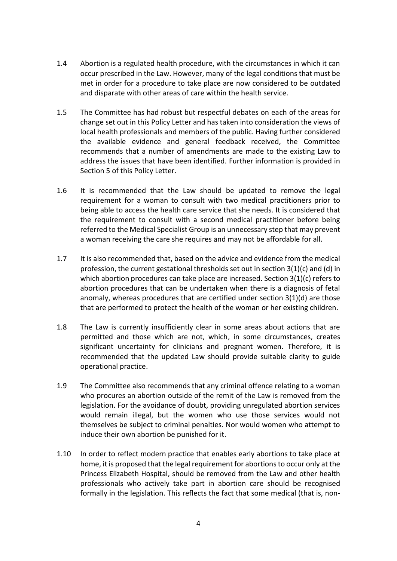- 1.4 Abortion is a regulated health procedure, with the circumstances in which it can occur prescribed in the Law. However, many of the legal conditions that must be met in order for a procedure to take place are now considered to be outdated and disparate with other areas of care within the health service.
- 1.5 The Committee has had robust but respectful debates on each of the areas for change set out in this Policy Letter and has taken into consideration the views of local health professionals and members of the public. Having further considered the available evidence and general feedback received, the Committee recommends that a number of amendments are made to the existing Law to address the issues that have been identified. Further information is provided in Section 5 of this Policy Letter.
- 1.6 It is recommended that the Law should be updated to remove the legal requirement for a woman to consult with two medical practitioners prior to being able to access the health care service that she needs. It is considered that the requirement to consult with a second medical practitioner before being referred to the Medical Specialist Group is an unnecessary step that may prevent a woman receiving the care she requires and may not be affordable for all.
- 1.7 It is also recommended that, based on the advice and evidence from the medical profession, the current gestational thresholds set out in section 3(1)(c) and (d) in which abortion procedures can take place are increased. Section 3(1)(c) refers to abortion procedures that can be undertaken when there is a diagnosis of fetal anomaly, whereas procedures that are certified under section 3(1)(d) are those that are performed to protect the health of the woman or her existing children.
- 1.8 The Law is currently insufficiently clear in some areas about actions that are permitted and those which are not, which, in some circumstances, creates significant uncertainty for clinicians and pregnant women. Therefore, it is recommended that the updated Law should provide suitable clarity to guide operational practice.
- 1.9 The Committee also recommends that any criminal offence relating to a woman who procures an abortion outside of the remit of the Law is removed from the legislation. For the avoidance of doubt, providing unregulated abortion services would remain illegal, but the women who use those services would not themselves be subject to criminal penalties. Nor would women who attempt to induce their own abortion be punished for it.
- 1.10 In order to reflect modern practice that enables early abortions to take place at home, it is proposed that the legal requirement for abortionsto occur only at the Princess Elizabeth Hospital, should be removed from the Law and other health professionals who actively take part in abortion care should be recognised formally in the legislation. This reflects the fact that some medical (that is, non-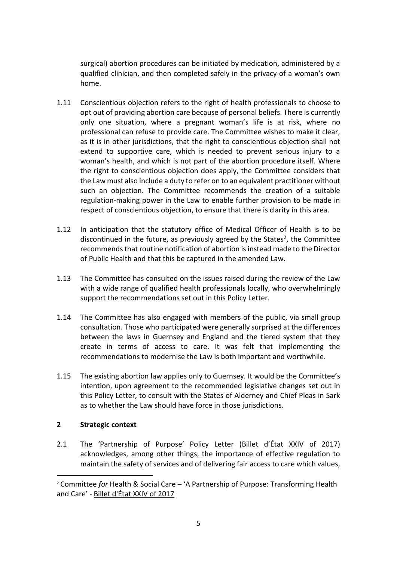surgical) abortion procedures can be initiated by medication, administered by a qualified clinician, and then completed safely in the privacy of a woman's own home.

- 1.11 Conscientious objection refers to the right of health professionals to choose to opt out of providing abortion care because of personal beliefs. There is currently only one situation, where a pregnant woman's life is at risk, where no professional can refuse to provide care. The Committee wishes to make it clear, as it is in other jurisdictions, that the right to conscientious objection shall not extend to supportive care, which is needed to prevent serious injury to a woman's health, and which is not part of the abortion procedure itself. Where the right to conscientious objection does apply, the Committee considers that the Law must also include a duty to refer on to an equivalent practitioner without such an objection. The Committee recommends the creation of a suitable regulation-making power in the Law to enable further provision to be made in respect of conscientious objection, to ensure that there is clarity in this area.
- 1.12 In anticipation that the statutory office of Medical Officer of Health is to be discontinued in the future, as previously agreed by the States<sup>2</sup>, the Committee recommends that routine notification of abortion is instead made to the Director of Public Health and that this be captured in the amended Law.
- 1.13 The Committee has consulted on the issues raised during the review of the Law with a wide range of qualified health professionals locally, who overwhelmingly support the recommendations set out in this Policy Letter.
- 1.14 The Committee has also engaged with members of the public, via small group consultation. Those who participated were generally surprised at the differences between the laws in Guernsey and England and the tiered system that they create in terms of access to care. It was felt that implementing the recommendations to modernise the Law is both important and worthwhile.
- 1.15 The existing abortion law applies only to Guernsey. It would be the Committee's intention, upon agreement to the recommended legislative changes set out in this Policy Letter, to consult with the States of Alderney and Chief Pleas in Sark as to whether the Law should have force in those jurisdictions.

## **2 Strategic context**

**.** 

2.1 The 'Partnership of Purpose' Policy Letter [\(Billet d'État XXIV](https://www.gov.gg/article/162531/States-Meeting-on-13-December-2017-Billets-XXIV--XXV) of 2017) acknowledges, among other things, the importance of effective regulation to maintain the safety of services and of delivering fair access to care which values,

<sup>2</sup> Committee *for* Health & Social Care – 'A Partnership of Purpose: Transforming Health and Care' - [Billet d'État XXIV of 2017](https://gov.gg/article/162629/A-Partnership-of-Purpose-Transforming-Health-and-Care)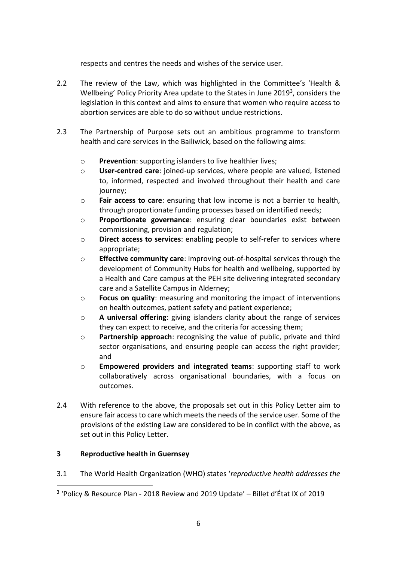respects and centres the needs and wishes of the service user.

- 2.2 The review of the Law, which was highlighted in the Committee's 'Health & Wellbeing' Policy Priority Area update to the States in June 2019<sup>3</sup>, considers the legislation in this context and aims to ensure that women who require access to abortion services are able to do so without undue restrictions.
- 2.3 The Partnership of Purpose sets out an ambitious programme to transform health and care services in the Bailiwick, based on the following aims:
	- o **Prevention**: supporting islanders to live healthier lives;
	- o **User-centred care**: joined-up services, where people are valued, listened to, informed, respected and involved throughout their health and care journey;
	- o **Fair access to care**: ensuring that low income is not a barrier to health, through proportionate funding processes based on identified needs;
	- o **Proportionate governance**: ensuring clear boundaries exist between commissioning, provision and regulation;
	- o **Direct access to services**: enabling people to self-refer to services where appropriate;
	- o **Effective community care**: improving out-of-hospital services through the development of Community Hubs for health and wellbeing, supported by a Health and Care campus at the PEH site delivering integrated secondary care and a Satellite Campus in Alderney;
	- o **Focus on quality**: measuring and monitoring the impact of interventions on health outcomes, patient safety and patient experience;
	- o **A universal offering**: giving islanders clarity about the range of services they can expect to receive, and the criteria for accessing them;
	- o **Partnership approach**: recognising the value of public, private and third sector organisations, and ensuring people can access the right provider; and
	- o **Empowered providers and integrated teams**: supporting staff to work collaboratively across organisational boundaries, with a focus on outcomes.
- 2.4 With reference to the above, the proposals set out in this Policy Letter aim to ensure fair access to care which meets the needs of the service user. Some of the provisions of the existing Law are considered to be in conflict with the above, as set out in this Policy Letter.

# **3 Reproductive health in Guernsey**

**.** 

3.1 The World Health Organization (WHO) states '*reproductive health addresses the* 

<sup>3</sup> 'Policy & Resource Plan - 2018 Review and 2019 Update' – Billet d'État IX of 2019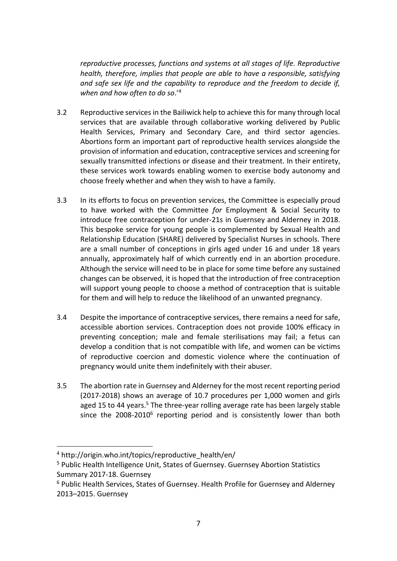*reproductive processes, functions and systems at all stages of life. Reproductive health, therefore, implies that people are able to have a responsible, satisfying and safe sex life and the capability to reproduce and the freedom to decide if, when and how often to do so*.'<sup>4</sup>

- 3.2 Reproductive services in the Bailiwick help to achieve this for many through local services that are available through collaborative working delivered by Public Health Services, Primary and Secondary Care, and third sector agencies. Abortions form an important part of reproductive health services alongside the provision of information and education, contraceptive services and screening for sexually transmitted infections or disease and their treatment. In their entirety, these services work towards enabling women to exercise body autonomy and choose freely whether and when they wish to have a family.
- 3.3 In its efforts to focus on prevention services, the Committee is especially proud to have worked with the Committee *for* Employment & Social Security to introduce free contraception for under-21s in Guernsey and Alderney in 2018. This bespoke service for young people is complemented by Sexual Health and Relationship Education (SHARE) delivered by Specialist Nurses in schools. There are a small number of conceptions in girls aged under 16 and under 18 years annually, approximately half of which currently end in an abortion procedure. Although the service will need to be in place for some time before any sustained changes can be observed, it is hoped that the introduction of free contraception will support young people to choose a method of contraception that is suitable for them and will help to reduce the likelihood of an unwanted pregnancy.
- 3.4 Despite the importance of contraceptive services, there remains a need for safe, accessible abortion services. Contraception does not provide 100% efficacy in preventing conception; male and female sterilisations may fail; a fetus can develop a condition that is not compatible with life, and women can be victims of reproductive coercion and domestic violence where the continuation of pregnancy would unite them indefinitely with their abuser.
- 3.5 The abortion rate in Guernsey and Alderney for the most recent reporting period (2017-2018) shows an average of 10.7 procedures per 1,000 women and girls aged 15 to 44 years.<sup>5</sup> The three-year rolling average rate has been largely stable since the 2008-2010<sup>6</sup> reporting period and is consistently lower than both

 $\overline{a}$ 

<sup>&</sup>lt;sup>4</sup> http://origin.who.int/topics/reproductive\_health/en/

<sup>5</sup> Public Health Intelligence Unit, States of Guernsey. Guernsey Abortion Statistics Summary 2017-18. Guernsey

<sup>&</sup>lt;sup>6</sup> Public Health Services, States of Guernsey. Health Profile for Guernsey and Alderney 2013–2015. Guernsey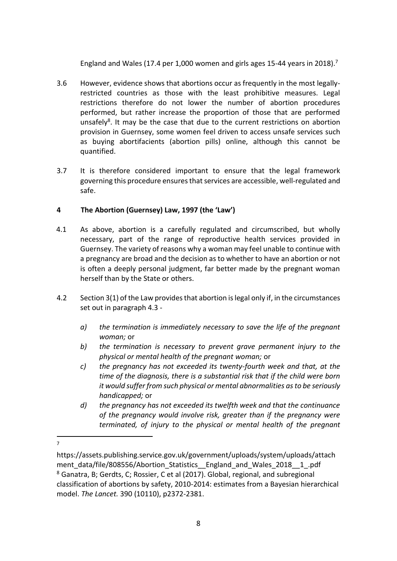England and Wales (17.4 per 1,000 women and girls ages 15-44 years in 2018).<sup>7</sup>

- 3.6 However, evidence shows that abortions occur as frequently in the most legallyrestricted countries as those with the least prohibitive measures. Legal restrictions therefore do not lower the number of abortion procedures performed, but rather increase the proportion of those that are performed unsafely<sup>8</sup>. It may be the case that due to the current restrictions on abortion provision in Guernsey, some women feel driven to access unsafe services such as buying abortifacients (abortion pills) online, although this cannot be quantified.
- 3.7 It is therefore considered important to ensure that the legal framework governing this procedure ensures that services are accessible, well-regulated and safe.

# **4 The Abortion (Guernsey) Law, 1997 (the 'Law')**

- 4.1 As above, abortion is a carefully regulated and circumscribed, but wholly necessary, part of the range of reproductive health services provided in Guernsey. The variety of reasons why a woman may feel unable to continue with a pregnancy are broad and the decision as to whether to have an abortion or not is often a deeply personal judgment, far better made by the pregnant woman herself than by the State or others.
- 4.2 Section 3(1) of the Law provides that abortion is legal only if, in the circumstances set out in paragraph 4.3
	- *a) the termination is immediately necessary to save the life of the pregnant woman;* or
	- *b) the termination is necessary to prevent grave permanent injury to the physical or mental health of the pregnant woman;* or
	- *c) the pregnancy has not exceeded its twenty-fourth week and that, at the time of the diagnosis, there is a substantial risk that if the child were born it would suffer from such physical or mental abnormalities as to be seriously handicapped;* or
	- *d) the pregnancy has not exceeded its twelfth week and that the continuance of the pregnancy would involve risk, greater than if the pregnancy were terminated, of injury to the physical or mental health of the pregnant*
- 1 7

https://assets.publishing.service.gov.uk/government/uploads/system/uploads/attach ment data/file/808556/Abortion Statistics England and Wales 2018 1 .pdf <sup>8</sup> Ganatra, B; Gerdts, C; Rossier, C et al (2017). Global, regional, and subregional classification of abortions by safety, 2010-2014: estimates from a Bayesian hierarchical model. *The Lancet.* 390 (10110), p2372-2381.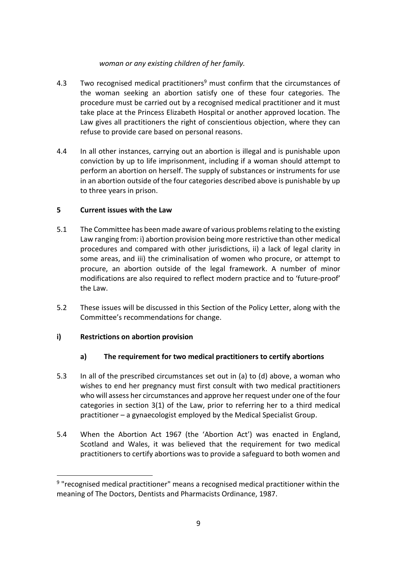## *woman or any existing children of her family.*

- 4.3 Two recognised medical practitioners<sup>9</sup> must confirm that the circumstances of the woman seeking an abortion satisfy one of these four categories. The procedure must be carried out by a recognised medical practitioner and it must take place at the Princess Elizabeth Hospital or another approved location. The Law gives all practitioners the right of conscientious objection, where they can refuse to provide care based on personal reasons.
- 4.4 In all other instances, carrying out an abortion is illegal and is punishable upon conviction by up to life imprisonment, including if a woman should attempt to perform an abortion on herself. The supply of substances or instruments for use in an abortion outside of the four categories described above is punishable by up to three years in prison.

## **5 Current issues with the Law**

- 5.1 The Committee has been made aware of various problems relating to the existing Law ranging from: i) abortion provision being more restrictive than other medical procedures and compared with other jurisdictions, ii) a lack of legal clarity in some areas, and iii) the criminalisation of women who procure, or attempt to procure, an abortion outside of the legal framework. A number of minor modifications are also required to reflect modern practice and to 'future-proof' the Law.
- 5.2 These issues will be discussed in this Section of the Policy Letter, along with the Committee's recommendations for change.

## **i) Restrictions on abortion provision**

**.** 

## **a) The requirement for two medical practitioners to certify abortions**

- 5.3 In all of the prescribed circumstances set out in (a) to (d) above, a woman who wishes to end her pregnancy must first consult with two medical practitioners who will assess her circumstances and approve her request under one of the four categories in section 3(1) of the Law, prior to referring her to a third medical practitioner – a gynaecologist employed by the Medical Specialist Group.
- 5.4 When the Abortion Act 1967 (the 'Abortion Act') was enacted in England, Scotland and Wales, it was believed that the requirement for two medical practitioners to certify abortions was to provide a safeguard to both women and

<sup>&</sup>lt;sup>9</sup> "recognised medical practitioner" means a recognised medical practitioner within the meaning of The Doctors, Dentists and Pharmacists Ordinance, 1987.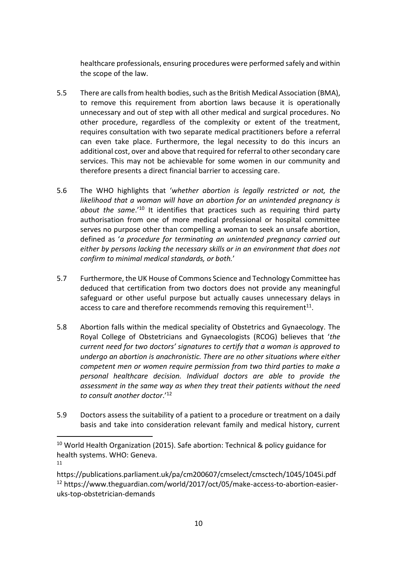healthcare professionals, ensuring procedures were performed safely and within the scope of the law.

- 5.5 There are calls from health bodies, such as the British Medical Association (BMA), to remove this requirement from abortion laws because it is operationally unnecessary and out of step with all other medical and surgical procedures. No other procedure, regardless of the complexity or extent of the treatment, requires consultation with two separate medical practitioners before a referral can even take place. Furthermore, the legal necessity to do this incurs an additional cost, over and above that required for referral to other secondary care services. This may not be achievable for some women in our community and therefore presents a direct financial barrier to accessing care.
- 5.6 The WHO highlights that '*whether abortion is legally restricted or not, the likelihood that a woman will have an abortion for an unintended pregnancy is about the same*.'<sup>10</sup> It identifies that practices such as requiring third party authorisation from one of more medical professional or hospital committee serves no purpose other than compelling a woman to seek an unsafe abortion, defined as '*a procedure for terminating an unintended pregnancy carried out either by persons lacking the necessary skills or in an environment that does not confirm to minimal medical standards, or both.*'
- 5.7 Furthermore, the UK House of Commons Science and Technology Committee has deduced that certification from two doctors does not provide any meaningful safeguard or other useful purpose but actually causes unnecessary delays in access to care and therefore recommends removing this requirement<sup>11</sup>.
- 5.8 Abortion falls within the medical speciality of Obstetrics and Gynaecology. The Royal College of Obstetricians and Gynaecologists (RCOG) believes that '*the current need for two doctors' signatures to certify that a woman is approved to undergo an abortion is anachronistic. There are no other situations where either competent men or women require permission from two third parties to make a personal healthcare decision. Individual doctors are able to provide the assessment in the same way as when they treat their patients without the need to consult another doctor*.'<sup>12</sup>
- 5.9 Doctors assess the suitability of a patient to a procedure or treatment on a daily basis and take into consideration relevant family and medical history, current

1

<sup>&</sup>lt;sup>10</sup> World Health Organization (2015). Safe abortion: Technical & policy guidance for health systems. WHO: Geneva. 11

https://publications.parliament.uk/pa/cm200607/cmselect/cmsctech/1045/1045i.pdf <sup>12</sup> https://www.theguardian.com/world/2017/oct/05/make-access-to-abortion-easieruks-top-obstetrician-demands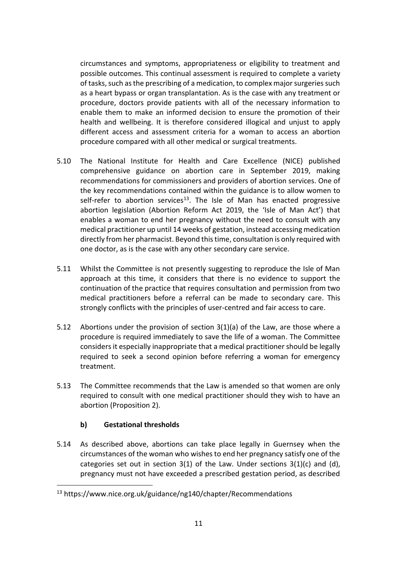circumstances and symptoms, appropriateness or eligibility to treatment and possible outcomes. This continual assessment is required to complete a variety of tasks, such as the prescribing of a medication, to complex major surgeries such as a heart bypass or organ transplantation. As is the case with any treatment or procedure, doctors provide patients with all of the necessary information to enable them to make an informed decision to ensure the promotion of their health and wellbeing. It is therefore considered illogical and unjust to apply different access and assessment criteria for a woman to access an abortion procedure compared with all other medical or surgical treatments.

- 5.10 The National Institute for Health and Care Excellence (NICE) published comprehensive guidance on abortion care in September 2019, making recommendations for commissioners and providers of abortion services. One of the key recommendations contained within the guidance is to allow women to self-refer to abortion services<sup>13</sup>. The Isle of Man has enacted progressive abortion legislation (Abortion Reform Act 2019, the 'Isle of Man Act') that enables a woman to end her pregnancy without the need to consult with any medical practitioner up until 14 weeks of gestation, instead accessing medication directly from her pharmacist. Beyond this time, consultation is only required with one doctor, as is the case with any other secondary care service.
- 5.11 Whilst the Committee is not presently suggesting to reproduce the Isle of Man approach at this time, it considers that there is no evidence to support the continuation of the practice that requires consultation and permission from two medical practitioners before a referral can be made to secondary care. This strongly conflicts with the principles of user-centred and fair access to care.
- 5.12 Abortions under the provision of section 3(1)(a) of the Law, are those where a procedure is required immediately to save the life of a woman. The Committee considers it especially inappropriate that a medical practitioner should be legally required to seek a second opinion before referring a woman for emergency treatment.
- 5.13 The Committee recommends that the Law is amended so that women are only required to consult with one medical practitioner should they wish to have an abortion (Proposition 2).

## **b) Gestational thresholds**

**.** 

5.14 As described above, abortions can take place legally in Guernsey when the circumstances of the woman who wishes to end her pregnancy satisfy one of the categories set out in section  $3(1)$  of the Law. Under sections  $3(1)(c)$  and (d), pregnancy must not have exceeded a prescribed gestation period, as described

<sup>13</sup> https://www.nice.org.uk/guidance/ng140/chapter/Recommendations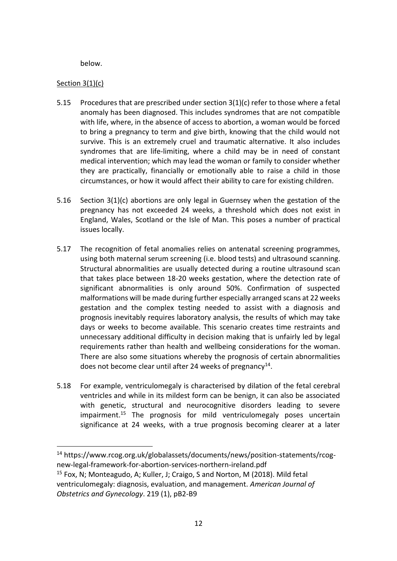below.

## Section 3(1)(c)

 $\overline{a}$ 

- 5.15 Procedures that are prescribed under section 3(1)(c) refer to those where a fetal anomaly has been diagnosed. This includes syndromes that are not compatible with life, where, in the absence of access to abortion, a woman would be forced to bring a pregnancy to term and give birth, knowing that the child would not survive. This is an extremely cruel and traumatic alternative. It also includes syndromes that are life-limiting, where a child may be in need of constant medical intervention; which may lead the woman or family to consider whether they are practically, financially or emotionally able to raise a child in those circumstances, or how it would affect their ability to care for existing children.
- 5.16 Section 3(1)(c) abortions are only legal in Guernsey when the gestation of the pregnancy has not exceeded 24 weeks, a threshold which does not exist in England, Wales, Scotland or the Isle of Man. This poses a number of practical issues locally.
- 5.17 The recognition of fetal anomalies relies on antenatal screening programmes, using both maternal serum screening (i.e. blood tests) and ultrasound scanning. Structural abnormalities are usually detected during a routine ultrasound scan that takes place between 18-20 weeks gestation, where the detection rate of significant abnormalities is only around 50%. Confirmation of suspected malformations will be made during further especially arranged scans at 22 weeks gestation and the complex testing needed to assist with a diagnosis and prognosis inevitably requires laboratory analysis, the results of which may take days or weeks to become available. This scenario creates time restraints and unnecessary additional difficulty in decision making that is unfairly led by legal requirements rather than health and wellbeing considerations for the woman. There are also some situations whereby the prognosis of certain abnormalities does not become clear until after 24 weeks of pregnancy<sup>14</sup>.
- 5.18 For example, ventriculomegaly is characterised by dilation of the fetal cerebral ventricles and while in its mildest form can be benign, it can also be associated with genetic, structural and neurocognitive disorders leading to severe impairment.<sup>15</sup> The prognosis for mild ventriculomegaly poses uncertain significance at 24 weeks, with a true prognosis becoming clearer at a later

<sup>14</sup> https://www.rcog.org.uk/globalassets/documents/news/position-statements/rcognew-legal-framework-for-abortion-services-northern-ireland.pdf

<sup>&</sup>lt;sup>15</sup> Fox, N; Monteagudo, A; Kuller, J; Craigo, S and Norton, M (2018). Mild fetal ventriculomegaly: diagnosis, evaluation, and management. *American Journal of Obstetrics and Gynecology*. 219 (1), pB2-B9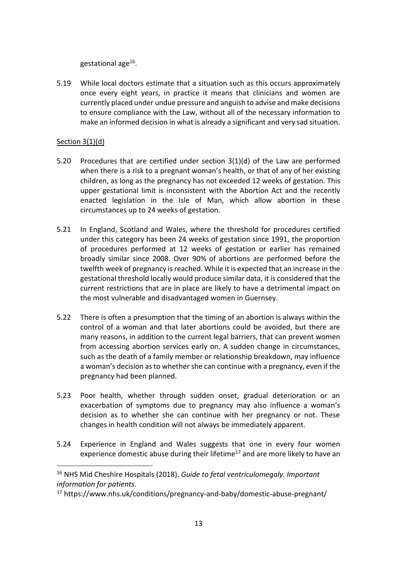gestational age<sup>16</sup>.

5.19 While local doctors estimate that a situation such as this occurs approximately once every eight years, in practice it means that clinicians and women are currently placed under undue pressure and anguish to advise and make decisions to ensure compliance with the Law, without all of the necessary information to make an informed decision in what is already a significant and very sad situation.

#### Section 3(1)(d)

**.** 

- 5.20 Procedures that are certified under section 3(1)(d) of the Law are performed when there is a risk to a pregnant woman's health, or that of any of her existing children, as long as the pregnancy has not exceeded 12 weeks of gestation. This upper gestational limit is inconsistent with the Abortion Act and the recently enacted legislation in the Isle of Man, which allow abortion in these circumstances up to 24 weeks of gestation.
- 5.21 In England, Scotland and Wales, where the threshold for procedures certified under this category has been 24 weeks of gestation since 1991, the proportion of procedures performed at 12 weeks of gestation or earlier has remained broadly similar since 2008. Over 90% of abortions are performed before the twelfth week of pregnancy is reached. While it is expected that an increase in the gestational threshold locally would produce similar data, it is considered that the current restrictions that are in place are likely to have a detrimental impact on the most vulnerable and disadvantaged women in Guernsey.
- 5.22 There is often a presumption that the timing of an abortion is always within the control of a woman and that later abortions could be avoided, but there are many reasons, in addition to the current legal barriers, that can prevent women from accessing abortion services early on. A sudden change in circumstances, such as the death of a family member or relationship breakdown, may influence a woman's decision as to whether she can continue with a pregnancy, even if the pregnancy had been planned.
- 5.23 Poor health, whether through sudden onset, gradual deterioration or an exacerbation of symptoms due to pregnancy may also influence a woman's decision as to whether she can continue with her pregnancy or not. These changes in health condition will not always be immediately apparent.
- 5.24 Experience in England and Wales suggests that one in every four women experience domestic abuse during their lifetime<sup>17</sup> and are more likely to have an

<sup>16</sup> NHS Mid Cheshire Hospitals (2018). *Guide to fetal ventriculomegaly. Important information for patients.*

<sup>17</sup> https://www.nhs.uk/conditions/pregnancy-and-baby/domestic-abuse-pregnant/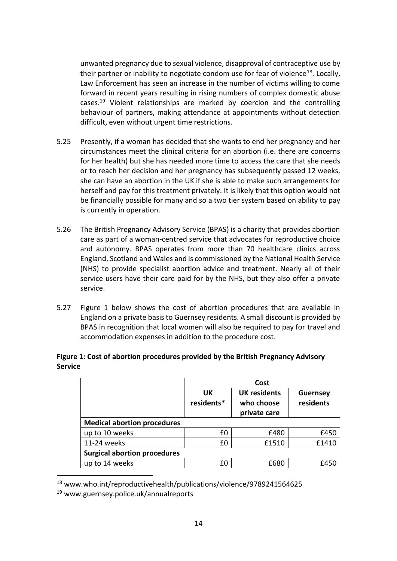unwanted pregnancy due to sexual violence, disapproval of contraceptive use by their partner or inability to negotiate condom use for fear of violence<sup>18</sup>. Locally, Law Enforcement has seen an increase in the number of victims willing to come forward in recent years resulting in rising numbers of complex domestic abuse cases.<sup>19</sup> Violent relationships are marked by coercion and the controlling behaviour of partners, making attendance at appointments without detection difficult, even without urgent time restrictions.

- 5.25 Presently, if a woman has decided that she wants to end her pregnancy and her circumstances meet the clinical criteria for an abortion (i.e. there are concerns for her health) but she has needed more time to access the care that she needs or to reach her decision and her pregnancy has subsequently passed 12 weeks, she can have an abortion in the UK if she is able to make such arrangements for herself and pay for this treatment privately. It is likely that this option would not be financially possible for many and so a two tier system based on ability to pay is currently in operation.
- 5.26 The British Pregnancy Advisory Service (BPAS) is a charity that provides abortion care as part of a woman-centred service that advocates for reproductive choice and autonomy. BPAS operates from more than 70 healthcare clinics across England, Scotland and Wales and is commissioned by the National Health Service (NHS) to provide specialist abortion advice and treatment. Nearly all of their service users have their care paid for by the NHS, but they also offer a private service.
- 5.27 Figure 1 below shows the cost of abortion procedures that are available in England on a private basis to Guernsey residents. A small discount is provided by BPAS in recognition that local women will also be required to pay for travel and accommodation expenses in addition to the procedure cost.

| Figure 1: Cost of abortion procedures provided by the British Pregnancy Advisory |  |
|----------------------------------------------------------------------------------|--|
| <b>Service</b>                                                                   |  |

|                                     | Cost             |                                                   |                              |  |  |  |  |
|-------------------------------------|------------------|---------------------------------------------------|------------------------------|--|--|--|--|
|                                     | UK<br>residents* | <b>UK residents</b><br>who choose<br>private care | <b>Guernsey</b><br>residents |  |  |  |  |
| <b>Medical abortion procedures</b>  |                  |                                                   |                              |  |  |  |  |
| up to 10 weeks                      | £0               | £480                                              | £450                         |  |  |  |  |
| 11-24 weeks                         | £0               | £1510                                             | £1410                        |  |  |  |  |
| <b>Surgical abortion procedures</b> |                  |                                                   |                              |  |  |  |  |
| up to 14 weeks                      | f٨               | £680                                              | £450                         |  |  |  |  |

<sup>18</sup> www.who.int/reproductivehealth/publications/violence/9789241564625

**.** 

<sup>19</sup> www.guernsey.police.uk/annualreports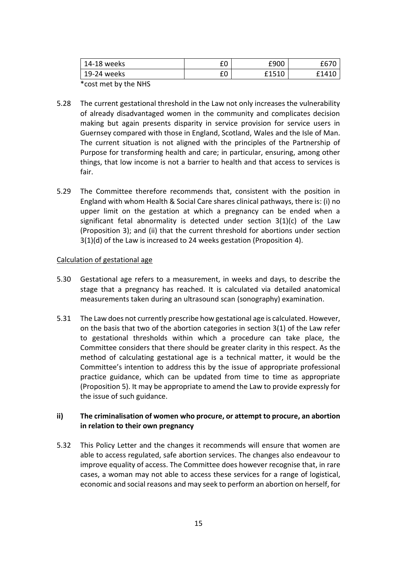| 14-18 weeks | rn<br>∸  | £900  |                  |
|-------------|----------|-------|------------------|
| 19-24 weeks | rn<br>ΙU | £1510 | f14 <sup>1</sup> |

\*cost met by the NHS

- 5.28 The current gestational threshold in the Law not only increases the vulnerability of already disadvantaged women in the community and complicates decision making but again presents disparity in service provision for service users in Guernsey compared with those in England, Scotland, Wales and the Isle of Man. The current situation is not aligned with the principles of the Partnership of Purpose for transforming health and care; in particular, ensuring, among other things, that low income is not a barrier to health and that access to services is fair.
- 5.29 The Committee therefore recommends that, consistent with the position in England with whom Health & Social Care shares clinical pathways, there is: (i) no upper limit on the gestation at which a pregnancy can be ended when a significant fetal abnormality is detected under section  $3(1)(c)$  of the Law (Proposition 3); and (ii) that the current threshold for abortions under section 3(1)(d) of the Law is increased to 24 weeks gestation (Proposition 4).

#### Calculation of gestational age

- 5.30 Gestational age refers to a measurement, in weeks and days, to describe the stage that a pregnancy has reached. It is calculated via detailed anatomical measurements taken during an ultrasound scan (sonography) examination.
- 5.31 The Law does not currently prescribe how gestational age is calculated. However, on the basis that two of the abortion categories in section 3(1) of the Law refer to gestational thresholds within which a procedure can take place, the Committee considers that there should be greater clarity in this respect. As the method of calculating gestational age is a technical matter, it would be the Committee's intention to address this by the issue of appropriate professional practice guidance, which can be updated from time to time as appropriate (Proposition 5). It may be appropriate to amend the Law to provide expressly for the issue of such guidance.

## **ii) The criminalisation of women who procure, or attempt to procure, an abortion in relation to their own pregnancy**

5.32 This Policy Letter and the changes it recommends will ensure that women are able to access regulated, safe abortion services. The changes also endeavour to improve equality of access. The Committee does however recognise that, in rare cases, a woman may not able to access these services for a range of logistical, economic and social reasons and may seek to perform an abortion on herself, for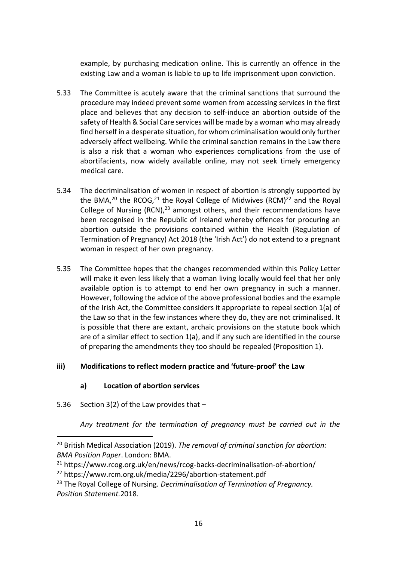example, by purchasing medication online. This is currently an offence in the existing Law and a woman is liable to up to life imprisonment upon conviction.

- 5.33 The Committee is acutely aware that the criminal sanctions that surround the procedure may indeed prevent some women from accessing services in the first place and believes that any decision to self-induce an abortion outside of the safety of Health & Social Care services will be made by a woman who may already find herself in a desperate situation, for whom criminalisation would only further adversely affect wellbeing. While the criminal sanction remains in the Law there is also a risk that a woman who experiences complications from the use of abortifacients, now widely available online, may not seek timely emergency medical care.
- 5.34 The decriminalisation of women in respect of abortion is strongly supported by the BMA,<sup>20</sup> the RCOG,<sup>21</sup> the Royal College of Midwives (RCM)<sup>22</sup> and the Royal College of Nursing  $(RCN)<sup>23</sup>$  amongst others, and their recommendations have been recognised in the Republic of Ireland whereby offences for procuring an abortion outside the provisions contained within the Health (Regulation of Termination of Pregnancy) Act 2018 (the 'Irish Act') do not extend to a pregnant woman in respect of her own pregnancy.
- 5.35 The Committee hopes that the changes recommended within this Policy Letter will make it even less likely that a woman living locally would feel that her only available option is to attempt to end her own pregnancy in such a manner. However, following the advice of the above professional bodies and the example of the Irish Act, the Committee considers it appropriate to repeal section 1(a) of the Law so that in the few instances where they do, they are not criminalised. It is possible that there are extant, archaic provisions on the statute book which are of a similar effect to section 1(a), and if any such are identified in the course of preparing the amendments they too should be repealed (Proposition 1).

## **iii) Modifications to reflect modern practice and 'future-proof' the Law**

## **a) Location of abortion services**

5.36 Section 3(2) of the Law provides that –

1

*Any treatment for the termination of pregnancy must be carried out in the* 

<sup>20</sup> British Medical Association (2019). *The removal of criminal sanction for abortion: BMA Position Paper*. London: BMA.

<sup>21</sup> https://www.rcog.org.uk/en/news/rcog-backs-decriminalisation-of-abortion/

<sup>22</sup> https://www.rcm.org.uk/media/2296/abortion-statement.pdf

<sup>23</sup> The Royal College of Nursing. *Decriminalisation of Termination of Pregnancy. Position Statement.*2018.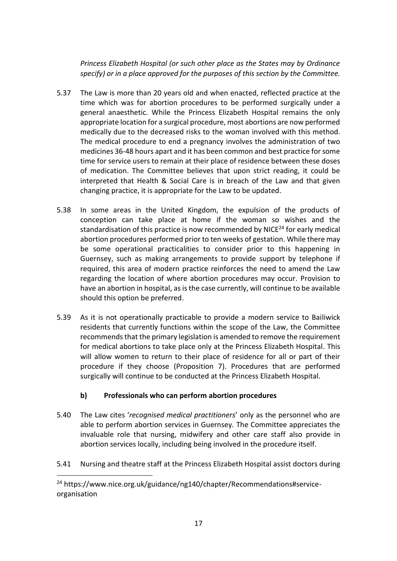*Princess Elizabeth Hospital (or such other place as the States may by Ordinance specify) or in a place approved for the purposes of this section by the Committee.*

- 5.37 The Law is more than 20 years old and when enacted, reflected practice at the time which was for abortion procedures to be performed surgically under a general anaesthetic. While the Princess Elizabeth Hospital remains the only appropriate location for a surgical procedure, most abortions are now performed medically due to the decreased risks to the woman involved with this method. The medical procedure to end a pregnancy involves the administration of two medicines 36-48 hours apart and it has been common and best practice for some time for service users to remain at their place of residence between these doses of medication. The Committee believes that upon strict reading, it could be interpreted that Health & Social Care is in breach of the Law and that given changing practice, it is appropriate for the Law to be updated.
- 5.38 In some areas in the United Kingdom, the expulsion of the products of conception can take place at home if the woman so wishes and the standardisation of this practice is now recommended by NICE<sup>24</sup> for early medical abortion procedures performed prior to ten weeks of gestation. While there may be some operational practicalities to consider prior to this happening in Guernsey, such as making arrangements to provide support by telephone if required, this area of modern practice reinforces the need to amend the Law regarding the location of where abortion procedures may occur. Provision to have an abortion in hospital, as is the case currently, will continue to be available should this option be preferred.
- 5.39 As it is not operationally practicable to provide a modern service to Bailiwick residents that currently functions within the scope of the Law, the Committee recommends that the primary legislation is amended to remove the requirement for medical abortions to take place only at the Princess Elizabeth Hospital. This will allow women to return to their place of residence for all or part of their procedure if they choose (Proposition 7). Procedures that are performed surgically will continue to be conducted at the Princess Elizabeth Hospital.

# **b) Professionals who can perform abortion procedures**

- 5.40 The Law cites '*recognised medical practitioners*' only as the personnel who are able to perform abortion services in Guernsey. The Committee appreciates the invaluable role that nursing, midwifery and other care staff also provide in abortion services locally, including being involved in the procedure itself.
- 5.41 Nursing and theatre staff at the Princess Elizabeth Hospital assist doctors during

**.** 

<sup>&</sup>lt;sup>24</sup> https://www.nice.org.uk/guidance/ng140/chapter/Recommendations#serviceorganisation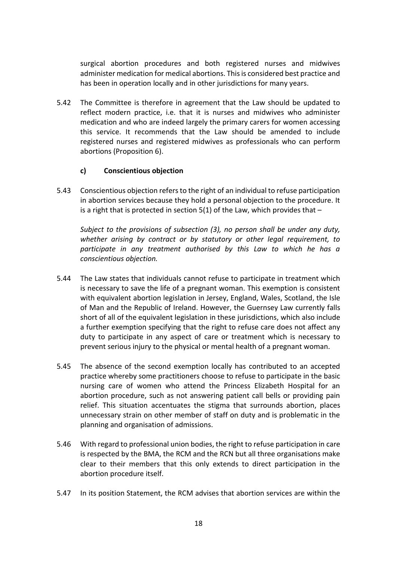surgical abortion procedures and both registered nurses and midwives administer medication for medical abortions. This is considered best practice and has been in operation locally and in other jurisdictions for many years.

5.42 The Committee is therefore in agreement that the Law should be updated to reflect modern practice, i.e. that it is nurses and midwives who administer medication and who are indeed largely the primary carers for women accessing this service. It recommends that the Law should be amended to include registered nurses and registered midwives as professionals who can perform abortions (Proposition 6).

## **c) Conscientious objection**

5.43 Conscientious objection refers to the right of an individual to refuse participation in abortion services because they hold a personal objection to the procedure. It is a right that is protected in section  $5(1)$  of the Law, which provides that  $-$ 

*Subject to the provisions of subsection (3), no person shall be under any duty, whether arising by contract or by statutory or other legal requirement, to participate in any treatment authorised by this Law to which he has a conscientious objection.*

- 5.44 The Law states that individuals cannot refuse to participate in treatment which is necessary to save the life of a pregnant woman. This exemption is consistent with equivalent abortion legislation in Jersey, England, Wales, Scotland, the Isle of Man and the Republic of Ireland. However, the Guernsey Law currently falls short of all of the equivalent legislation in these jurisdictions, which also include a further exemption specifying that the right to refuse care does not affect any duty to participate in any aspect of care or treatment which is necessary to prevent serious injury to the physical or mental health of a pregnant woman.
- 5.45 The absence of the second exemption locally has contributed to an accepted practice whereby some practitioners choose to refuse to participate in the basic nursing care of women who attend the Princess Elizabeth Hospital for an abortion procedure, such as not answering patient call bells or providing pain relief. This situation accentuates the stigma that surrounds abortion, places unnecessary strain on other member of staff on duty and is problematic in the planning and organisation of admissions.
- 5.46 With regard to professional union bodies, the right to refuse participation in care is respected by the BMA, the RCM and the RCN but all three organisations make clear to their members that this only extends to direct participation in the abortion procedure itself.
- 5.47 In its position Statement, the RCM advises that abortion services are within the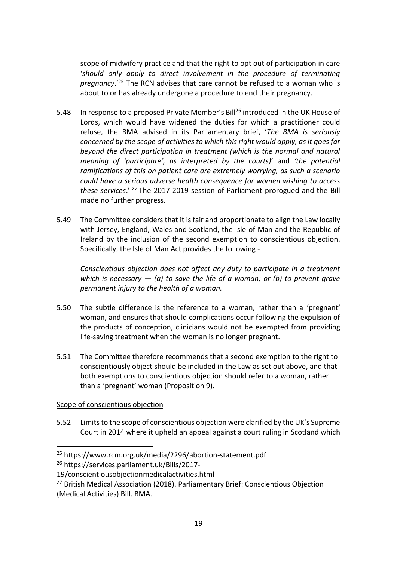scope of midwifery practice and that the right to opt out of participation in care '*should only apply to direct involvement in the procedure of terminating pregnancy*.'<sup>25</sup> The RCN advises that care cannot be refused to a woman who is about to or has already undergone a procedure to end their pregnancy.

- 5.48 In response to a proposed Private Member's Bill<sup>26</sup> introduced in the UK House of Lords, which would have widened the duties for which a practitioner could refuse, the BMA advised in its Parliamentary brief, '*The BMA is seriously concerned by the scope of activities to which this right would apply, as it goes far beyond the direct participation in treatment (which is the normal and natural meaning of 'participate', as interpreted by the courts)*' and *'the potential ramifications of this on patient care are extremely worrying, as such a scenario could have a serious adverse health consequence for women wishing to access these services*.' *<sup>27</sup>* The 2017-2019 session of Parliament prorogued and the Bill made no further progress.
- 5.49 The Committee considers that it is fair and proportionate to align the Law locally with Jersey, England, Wales and Scotland, the Isle of Man and the Republic of Ireland by the inclusion of the second exemption to conscientious objection. Specifically, the Isle of Man Act provides the following -

*Conscientious objection does not affect any duty to participate in a treatment which is necessary*  $-$  *(a) to save the life of a woman; or (b) to prevent grave permanent injury to the health of a woman.*

- 5.50 The subtle difference is the reference to a woman, rather than a 'pregnant' woman, and ensures that should complications occur following the expulsion of the products of conception, clinicians would not be exempted from providing life-saving treatment when the woman is no longer pregnant.
- 5.51 The Committee therefore recommends that a second exemption to the right to conscientiously object should be included in the Law as set out above, and that both exemptions to conscientious objection should refer to a woman, rather than a 'pregnant' woman (Proposition 9).

## Scope of conscientious objection

 $\overline{a}$ 

5.52 Limits to the scope of conscientious objection were clarified by the UK's Supreme Court in 2014 where it upheld an appeal against a court ruling in Scotland which

<sup>25</sup> https://www.rcm.org.uk/media/2296/abortion-statement.pdf

<sup>26</sup> https://services.parliament.uk/Bills/2017-

<sup>19/</sup>conscientiousobjectionmedicalactivities.html

<sup>&</sup>lt;sup>27</sup> British Medical Association (2018). Parliamentary Brief: Conscientious Objection (Medical Activities) Bill. BMA.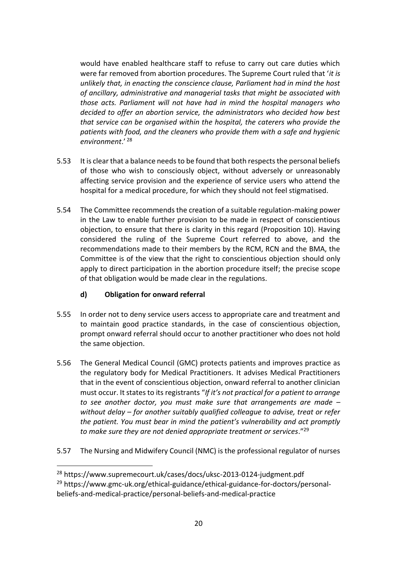would have enabled healthcare staff to refuse to carry out care duties which were far removed from abortion procedures. The Supreme Court ruled that '*it is unlikely that, in enacting the conscience clause, Parliament had in mind the host of ancillary, administrative and managerial tasks that might be associated with those acts. Parliament will not have had in mind the hospital managers who decided to offer an abortion service, the administrators who decided how best that service can be organised within the hospital, the caterers who provide the patients with food, and the cleaners who provide them with a safe and hygienic environment*.' <sup>28</sup>

- 5.53 It is clear that a balance needs to be found that both respects the personal beliefs of those who wish to consciously object, without adversely or unreasonably affecting service provision and the experience of service users who attend the hospital for a medical procedure, for which they should not feel stigmatised.
- 5.54 The Committee recommends the creation of a suitable regulation-making power in the Law to enable further provision to be made in respect of conscientious objection, to ensure that there is clarity in this regard (Proposition 10). Having considered the ruling of the Supreme Court referred to above, and the recommendations made to their members by the RCM, RCN and the BMA, the Committee is of the view that the right to conscientious objection should only apply to direct participation in the abortion procedure itself; the precise scope of that obligation would be made clear in the regulations.

## **d) Obligation for onward referral**

**.** 

- 5.55 In order not to deny service users access to appropriate care and treatment and to maintain good practice standards, in the case of conscientious objection, prompt onward referral should occur to another practitioner who does not hold the same objection.
- 5.56 The General Medical Council (GMC) protects patients and improves practice as the regulatory body for Medical Practitioners. It advises Medical Practitioners that in the event of conscientious objection, onward referral to another clinician must occur. It states to its registrants "*If it's not practical for a patient to arrange to see another doctor, you must make sure that arrangements are made – without delay – for another suitably qualified colleague to advise, treat or refer the patient. You must bear in mind the patient's vulnerability and act promptly to make sure they are not denied appropriate treatment or services*."<sup>29</sup>
- 5.57 The Nursing and Midwifery Council (NMC) is the professional regulator of nurses

<sup>28</sup> https://www.supremecourt.uk/cases/docs/uksc-2013-0124-judgment.pdf

<sup>&</sup>lt;sup>29</sup> https://www.gmc-uk.org/ethical-guidance/ethical-guidance-for-doctors/personalbeliefs-and-medical-practice/personal-beliefs-and-medical-practice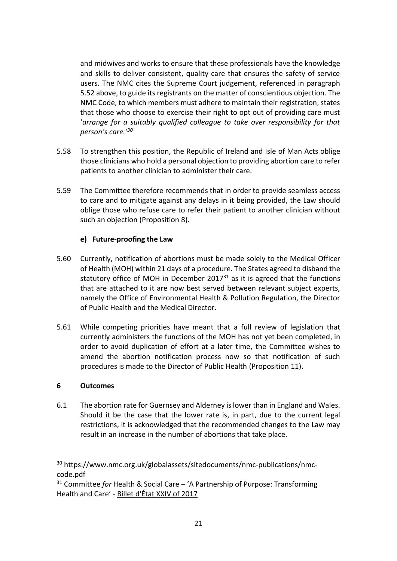and midwives and works to ensure that these professionals have the knowledge and skills to deliver consistent, quality care that ensures the safety of service users. The NMC cites the Supreme Court judgement, referenced in paragraph 5.52 above, to guide its registrants on the matter of conscientious objection. The NMC Code, to which members must adhere to maintain their registration, states that those who choose to exercise their right to opt out of providing care must '*arrange for a suitably qualified colleague to take over responsibility for that person's care.'<sup>30</sup>*

- 5.58 To strengthen this position, the Republic of Ireland and Isle of Man Acts oblige those clinicians who hold a personal objection to providing abortion care to refer patients to another clinician to administer their care.
- 5.59 The Committee therefore recommends that in order to provide seamless access to care and to mitigate against any delays in it being provided, the Law should oblige those who refuse care to refer their patient to another clinician without such an objection (Proposition 8).

## **e) Future-proofing the Law**

- 5.60 Currently, notification of abortions must be made solely to the Medical Officer of Health (MOH) within 21 days of a procedure. The States agreed to disband the statutory office of MOH in December 2017 $31$  as it is agreed that the functions that are attached to it are now best served between relevant subject experts, namely the Office of Environmental Health & Pollution Regulation, the Director of Public Health and the Medical Director.
- 5.61 While competing priorities have meant that a full review of legislation that currently administers the functions of the MOH has not yet been completed, in order to avoid duplication of effort at a later time, the Committee wishes to amend the abortion notification process now so that notification of such procedures is made to the Director of Public Health (Proposition 11).

#### **6 Outcomes**

 $\overline{a}$ 

6.1 The abortion rate for Guernsey and Alderney is lower than in England and Wales. Should it be the case that the lower rate is, in part, due to the current legal restrictions, it is acknowledged that the recommended changes to the Law may result in an increase in the number of abortions that take place.

<sup>30</sup> https://www.nmc.org.uk/globalassets/sitedocuments/nmc-publications/nmccode.pdf

<sup>31</sup> Committee *for* Health & Social Care – 'A Partnership of Purpose: Transforming Health and Care' - [Billet d'État XXIV of 2017](https://gov.gg/article/162629/A-Partnership-of-Purpose-Transforming-Health-and-Care)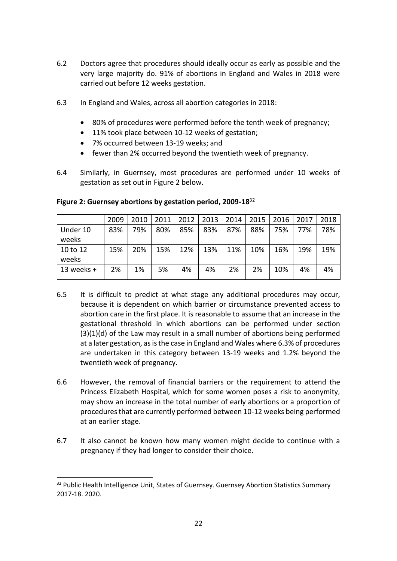- 6.2 Doctors agree that procedures should ideally occur as early as possible and the very large majority do. 91% of abortions in England and Wales in 2018 were carried out before 12 weeks gestation.
- 6.3 In England and Wales, across all abortion categories in 2018:
	- 80% of procedures were performed before the tenth week of pregnancy;
	- 11% took place between 10-12 weeks of gestation;
	- 7% occurred between 13-19 weeks; and
	- fewer than 2% occurred beyond the twentieth week of pregnancy.
- 6.4 Similarly, in Guernsey, most procedures are performed under 10 weeks of gestation as set out in Figure 2 below.

|                   | 2009 | 2010 | 2011 | 2012 | 2013 | 2014 | 2015 | 2016 | 2017 | 2018 |
|-------------------|------|------|------|------|------|------|------|------|------|------|
| Under 10<br>weeks | 83%  | 79%  | 80%  | 85%  | 83%  | 87%  | 88%  | 75%  | 77%  | 78%  |
| 10 to 12<br>weeks | 15%  | 20%  | 15%  | 12%  | 13%  | 11%  | 10%  | 16%  | 19%  | 19%  |
| 13 weeks $+$      | 2%   | 1%   | 5%   | 4%   | 4%   | 2%   | 2%   | 10%  | 4%   | 4%   |

**Figure 2: Guernsey abortions by gestation period, 2009-18**<sup>32</sup>

- 6.5 It is difficult to predict at what stage any additional procedures may occur, because it is dependent on which barrier or circumstance prevented access to abortion care in the first place. It is reasonable to assume that an increase in the gestational threshold in which abortions can be performed under section (3)(1)(d) of the Law may result in a small number of abortions being performed at a later gestation, as is the case in England and Wales where 6.3% of procedures are undertaken in this category between 13-19 weeks and 1.2% beyond the twentieth week of pregnancy.
- 6.6 However, the removal of financial barriers or the requirement to attend the Princess Elizabeth Hospital, which for some women poses a risk to anonymity, may show an increase in the total number of early abortions or a proportion of procedures that are currently performed between 10-12 weeks being performed at an earlier stage.
- 6.7 It also cannot be known how many women might decide to continue with a pregnancy if they had longer to consider their choice.

1

<sup>&</sup>lt;sup>32</sup> Public Health Intelligence Unit, States of Guernsey. Guernsey Abortion Statistics Summary 2017-18. 2020.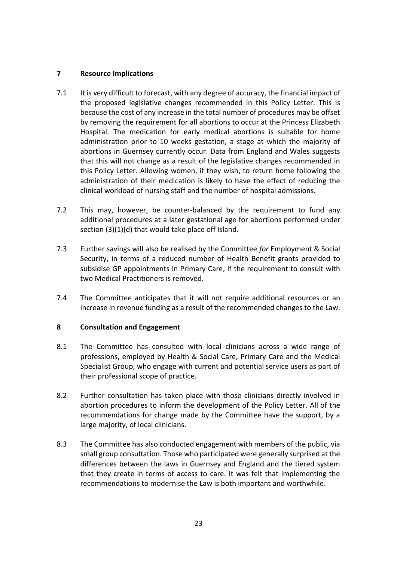## **7 Resource Implications**

- 7.1 It is very difficult to forecast, with any degree of accuracy, the financial impact of the proposed legislative changes recommended in this Policy Letter. This is because the cost of any increase in the total number of procedures may be offset by removing the requirement for all abortions to occur at the Princess Elizabeth Hospital. The medication for early medical abortions is suitable for home administration prior to 10 weeks gestation, a stage at which the majority of abortions in Guernsey currently occur. Data from England and Wales suggests that this will not change as a result of the legislative changes recommended in this Policy Letter. Allowing women, if they wish, to return home following the administration of their medication is likely to have the effect of reducing the clinical workload of nursing staff and the number of hospital admissions.
- 7.2 This may, however, be counter-balanced by the requirement to fund any additional procedures at a later gestational age for abortions performed under section (3)(1)(d) that would take place off Island.
- 7.3 Further savings will also be realised by the Committee *for* Employment & Social Security, in terms of a reduced number of Health Benefit grants provided to subsidise GP appointments in Primary Care, if the requirement to consult with two Medical Practitioners is removed.
- 7.4 The Committee anticipates that it will not require additional resources or an increase in revenue funding as a result of the recommended changes to the Law.

#### **8 Consultation and Engagement**

- 8.1 The Committee has consulted with local clinicians across a wide range of professions, employed by Health & Social Care, Primary Care and the Medical Specialist Group, who engage with current and potential service users as part of their professional scope of practice.
- 8.2 Further consultation has taken place with those clinicians directly involved in abortion procedures to inform the development of the Policy Letter. All of the recommendations for change made by the Committee have the support, by a large majority, of local clinicians.
- 8.3 The Committee has also conducted engagement with members of the public, via small group consultation. Those who participated were generally surprised at the differences between the laws in Guernsey and England and the tiered system that they create in terms of access to care. It was felt that implementing the recommendations to modernise the Law is both important and worthwhile.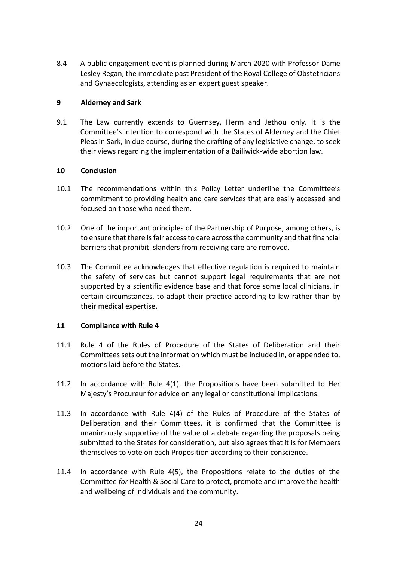8.4 A public engagement event is planned during March 2020 with Professor Dame Lesley Regan, the immediate past President of the Royal College of Obstetricians and Gynaecologists, attending as an expert guest speaker.

#### **9 Alderney and Sark**

9.1 The Law currently extends to Guernsey, Herm and Jethou only. It is the Committee's intention to correspond with the States of Alderney and the Chief Pleas in Sark, in due course, during the drafting of any legislative change, to seek their views regarding the implementation of a Bailiwick-wide abortion law.

#### **10 Conclusion**

- 10.1 The recommendations within this Policy Letter underline the Committee's commitment to providing health and care services that are easily accessed and focused on those who need them.
- 10.2 One of the important principles of the Partnership of Purpose, among others, is to ensure that there is fair access to care across the community and that financial barriers that prohibit Islanders from receiving care are removed.
- 10.3 The Committee acknowledges that effective regulation is required to maintain the safety of services but cannot support legal requirements that are not supported by a scientific evidence base and that force some local clinicians, in certain circumstances, to adapt their practice according to law rather than by their medical expertise.

## **11 Compliance with Rule 4**

- 11.1 Rule 4 of the Rules of Procedure of the States of Deliberation and their Committees sets out the information which must be included in, or appended to, motions laid before the States.
- 11.2 In accordance with Rule 4(1), the Propositions have been submitted to Her Majesty's Procureur for advice on any legal or constitutional implications.
- 11.3 In accordance with Rule 4(4) of the Rules of Procedure of the States of Deliberation and their Committees, it is confirmed that the Committee is unanimously supportive of the value of a debate regarding the proposals being submitted to the States for consideration, but also agrees that it is for Members themselves to vote on each Proposition according to their conscience.
- 11.4 In accordance with Rule 4(5), the Propositions relate to the duties of the Committee *for* Health & Social Care to protect, promote and improve the health and wellbeing of individuals and the community.